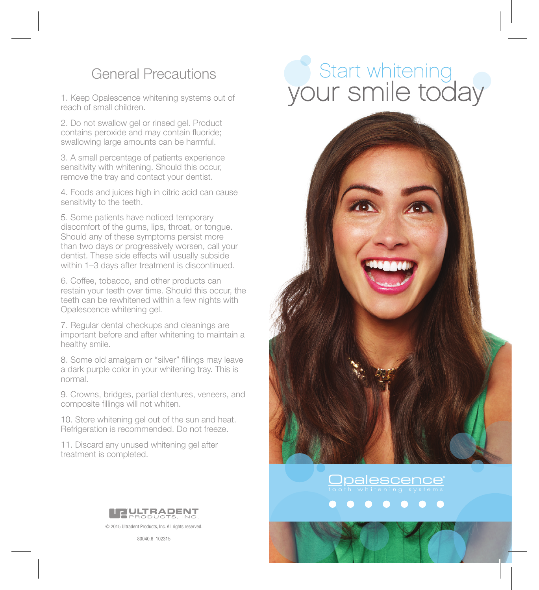1. Keep Opalescence whitening systems out of reach of small children.

2. Do not swallow gel or rinsed gel. Product contains peroxide and may contain fluoride; swallowing large amounts can be harmful.

3. A small percentage of patients experience sensitivity with whitening. Should this occur, remove the tray and contact your dentist.

4. Foods and juices high in citric acid can cause sensitivity to the teeth.

5. Some patients have noticed temporary discomfort of the gums, lips, throat, or tongue. Should any of these symptoms persist more than two days or progressively worsen, call your dentist. These side effects will usually subside within 1–3 days after treatment is discontinued.

6. Coffee, tobacco, and other products can restain your teeth over time. Should this occur, the teeth can be rewhitened within a few nights with Opalescence whitening gel.

7. Regular dental checkups and cleanings are important before and after whitening to maintain a healthy smile.

8. Some old amalgam or "silver" fillings may leave a dark purple color in your whitening tray. This is normal.

9. Crowns, bridges, partial dentures, veneers, and composite fillings will not whiten.

10. Store whitening gel out of the sun and heat. Refrigeration is recommended. Do not freeze.

11. Discard any unused whitening gel after treatment is completed.



© 2015 Ultradent Products, Inc. All rights reserved.

80040.6 102315

# General Precautions **Start whitening** your smile today



Opalescence